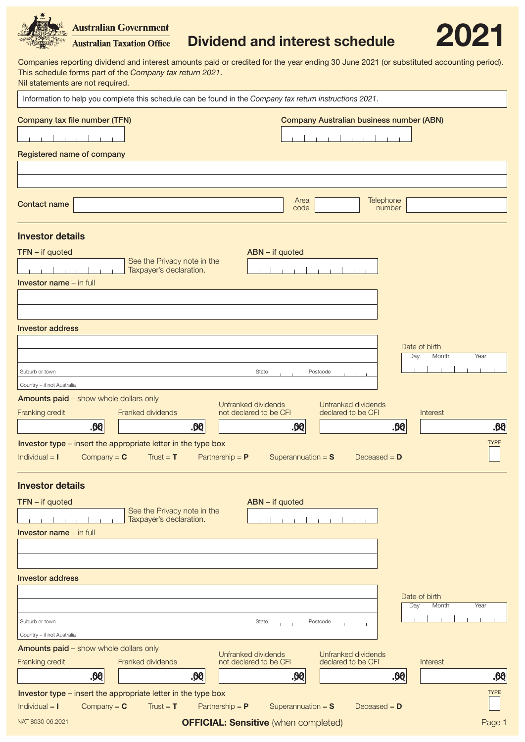# Dividend and interest schedule 2021

Companies reporting dividend and interest amounts paid or credited for the year ending 30 June 2021 (or substituted accounting period). This schedule forms part of the *Company tax return 2021*. Nil statements are not required.

**Australian Government Australian Taxation Office** 

| Information to help you complete this schedule can be found in the Company tax return instructions 2021.        |                                                        |                   |                                             |                     |                                                 |                               |             |
|-----------------------------------------------------------------------------------------------------------------|--------------------------------------------------------|-------------------|---------------------------------------------|---------------------|-------------------------------------------------|-------------------------------|-------------|
| Company tax file number (TFN)                                                                                   |                                                        |                   |                                             |                     | <b>Company Australian business number (ABN)</b> |                               |             |
|                                                                                                                 |                                                        |                   |                                             |                     |                                                 |                               |             |
| Registered name of company                                                                                      |                                                        |                   |                                             |                     |                                                 |                               |             |
|                                                                                                                 |                                                        |                   |                                             |                     |                                                 |                               |             |
|                                                                                                                 |                                                        |                   |                                             |                     |                                                 |                               |             |
| <b>Contact name</b>                                                                                             |                                                        |                   | Area<br>code                                |                     | Telephone<br>number                             |                               |             |
| <b>Investor details</b>                                                                                         |                                                        |                   |                                             |                     |                                                 |                               |             |
| $TFN - if quoted$                                                                                               |                                                        |                   | ABN - if quoted                             |                     |                                                 |                               |             |
|                                                                                                                 | See the Privacy note in the<br>Taxpayer's declaration. |                   |                                             |                     |                                                 |                               |             |
| <b>Investor name</b> $-$ in full                                                                                |                                                        |                   |                                             |                     |                                                 |                               |             |
|                                                                                                                 |                                                        |                   |                                             |                     |                                                 |                               |             |
|                                                                                                                 |                                                        |                   |                                             |                     |                                                 |                               |             |
| <b>Investor address</b>                                                                                         |                                                        |                   |                                             |                     |                                                 |                               |             |
|                                                                                                                 |                                                        |                   |                                             |                     |                                                 |                               |             |
|                                                                                                                 |                                                        |                   |                                             |                     |                                                 | Date of birth<br>Day<br>Month | Year        |
| Suburb or town                                                                                                  |                                                        |                   | State                                       | Postcode            |                                                 |                               |             |
| Country - if not Australia                                                                                      |                                                        |                   |                                             |                     |                                                 |                               |             |
| <b>Amounts paid - show whole dollars only</b>                                                                   |                                                        |                   | Unfranked dividends                         | Unfranked dividends |                                                 |                               |             |
| Franking credit                                                                                                 | Franked dividends                                      |                   | not declared to be CFI                      | declared to be CFI  |                                                 | Interest                      |             |
| .00                                                                                                             | .00                                                    |                   | <b>.00</b>                                  |                     | .00                                             |                               | .00         |
| Investor type - insert the appropriate letter in the type box                                                   |                                                        |                   |                                             |                     |                                                 |                               | <b>TYPE</b> |
| Individual $=$ $\blacksquare$<br>Company = $C$                                                                  | Trust = $T$                                            | Partnership = $P$ | Superannuation = $S$                        |                     | Deceased $= D$                                  |                               |             |
|                                                                                                                 |                                                        |                   |                                             |                     |                                                 |                               |             |
| <b>Investor details</b>                                                                                         |                                                        |                   |                                             |                     |                                                 |                               |             |
| $TFN - if quoted$                                                                                               | See the Privacy note in the                            |                   | ABN - if quoted                             |                     |                                                 |                               |             |
|                                                                                                                 | Taxpayer's declaration.                                |                   |                                             |                     |                                                 |                               |             |
| <b>Investor name</b> - in full                                                                                  |                                                        |                   |                                             |                     |                                                 |                               |             |
|                                                                                                                 |                                                        |                   |                                             |                     |                                                 |                               |             |
|                                                                                                                 |                                                        |                   |                                             |                     |                                                 |                               |             |
| <b>Investor address</b>                                                                                         |                                                        |                   |                                             |                     |                                                 |                               |             |
|                                                                                                                 |                                                        |                   |                                             |                     |                                                 | Date of birth                 |             |
|                                                                                                                 |                                                        |                   |                                             |                     |                                                 | Month<br>Day                  | Year        |
| Suburb or town                                                                                                  |                                                        |                   | State                                       | Postcode            |                                                 |                               |             |
| Country - if not Australia                                                                                      |                                                        |                   |                                             |                     |                                                 |                               |             |
| <b>Amounts paid - show whole dollars only</b>                                                                   | Franked dividends                                      |                   | Unfranked dividends                         | Unfranked dividends |                                                 |                               |             |
| Franking credit<br><b>.00</b>                                                                                   | .00                                                    |                   | not declared to be CFI<br><b>.00</b>        | declared to be CFI  | .00                                             | Interest                      | .00         |
|                                                                                                                 |                                                        |                   |                                             |                     |                                                 |                               |             |
| Investor type – insert the appropriate letter in the type box<br>Individual $=$ $\blacksquare$<br>Company = $C$ | Trust = $T$                                            | Partnership = $P$ | Superannuation = $S$                        |                     | Deceased = $D$                                  |                               | <b>TYPE</b> |
|                                                                                                                 |                                                        |                   |                                             |                     |                                                 |                               |             |
| NAT 8030-06.2021                                                                                                |                                                        |                   | <b>OFFICIAL: Sensitive</b> (when completed) |                     |                                                 |                               | Page 1      |